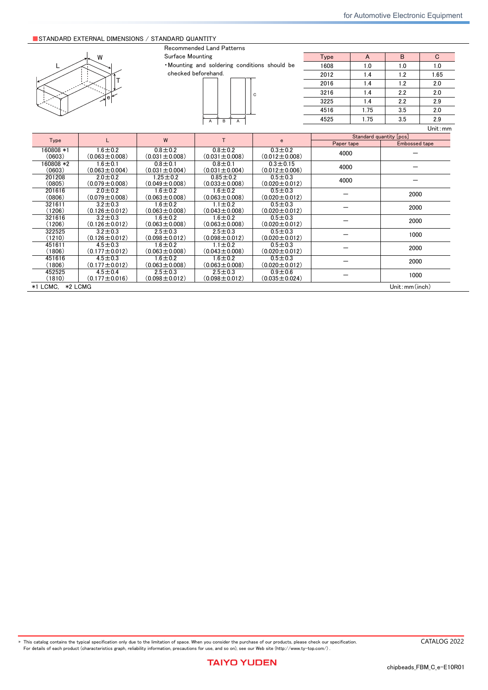## ■ Limited Application

## 1. Equipment Intended for Use

The products listed in this catalog are intended for general-purpose and standard use in general electronic equipment for consumer (e.g., AV equipment, OA equipment, home electric appliances, office equipment, information and communication equipment including, without limitation, mobile phone, and PC) and other equipment specified in this catalog or the individual product specification sheets, or the equipment approved separately by TAIYO YUDEN.

TAIYO YUDEN has the product series intended for use in the following equipment. Therefore, when using our products for these equipment, please check available applications specified in this catalog or the individual product specification sheets and use the corresponding products.

|             | <b>Product Series</b>                                                        |                                               |                             |
|-------------|------------------------------------------------------------------------------|-----------------------------------------------|-----------------------------|
| Application | Equipment <sup>*1</sup>                                                      | Category<br>(Part Number Code <sup>*2</sup> ) | Quality Grade <sup>*3</sup> |
| Automotive  | Automotive Electronic Equipment<br>(POWERTRAIN, SAFETY)                      | A                                             |                             |
|             | Automotive Electronic Equipment<br>(BODY & CHASSIS, INFOTAINMENT)            | C                                             | 2                           |
| Industrial  | Telecommunications Infrastructure and<br><b>Industrial Equipment</b>         | B                                             | 2                           |
| Medical     | Medical Devices classified as GHTF Class C<br>(Japan Class III)              | M                                             | 2                           |
|             | Medical Devices classified as GHTF Classes A or B<br>(Japan Classes I or II) |                                               | 3                           |
| Consumer    | General Electronic Equipment                                                 | S                                             | 3                           |

\*Notes: 1. Based on the general specifications required for electronic components for such equipment, which are recognized by TAIYO YUDEN,<br>the use of each product series for the equipment is recommended. Please be sure to

please check the explanatory materials regarding the part numbering system of each of our products.<br>3. Each product series is assigned a "Quality Grade" from 1 to 3 in order of higher quality. Please do not incorporate a p

equipment with a higher Quality Grade than the Quality Grade of such product without the prior written consent of TAIYO YUDEN.

## 2. Equipment Requiring Inquiry

Please be sure to contact TAIYO YUDEN for further information before using the products listed in this catalog for the following equipment (excluding intended equipment as specified in this catalog or the individual product specification sheets) which may cause loss of human life, bodily injury, serious property damage and/or serious public impact due to a failure or defect of the products and/or malfunction attributed thereto.

(1) Transportation equipment (automotive powertrain control system, train control system, and ship control system, etc.)

(2) Traffic signal equipment

- (3) Disaster prevention equipment, crime prevention equipment
- (4) Medical devices classified as GHTF Class C (Japan Class III)
- (5) Highly public information network equipment, data-processing equipment (telephone exchange, and base station, etc.)

(6) Any other equipment requiring high levels of quality and/or reliability equal to the equipment listed above

#### 3. Equipment Prohibited for Use

Please do not incorporate our products into the following equipment requiring extremely high levels of safety and/or reliability. (1) Aerospace equipment (artificial satellite, rocket, etc.)

(2) Aviation equipment \*1

(3) Medical devices classified as GHTF Class D (Japan Class IV), implantable medical devices  $*2$ 

- (4) Power generation control equipment (nuclear power, hydroelectric power, thermal power plant control system, etc.)
- (5) Undersea equipment (submarine repeating equipment, etc.)
- (6) Military equipment

(7) Any other equipment requiring extremely high levels of safety and/or reliability equal to the equipment listed above

- \*Notes: 1. There is a possibility that our products can be used only for aviation equipment that does not directly affect the safe operation of aircraft (e.g., in-flight entertainment, cabin light, electric seat, cooking e
	- <sup>2</sup>. Implantable medical devices contain not only internal unit which is implanted in a body, but also external unit which is connected to the internal unit.

#### 4. Limitation of Liability

Please note that unless you obtain prior written consent of TAIYO YUDEN, TAIYO YUDEN shall not be in any way responsible for any damages incurred by you or third parties arising from use of the products listed in this catalog for any equipment that is not intended for use by TAIYO YUDEN, or any equipment requiring inquiry to TAIYO YUDEN or prohibited for use by TAIYO YUDEN as described above.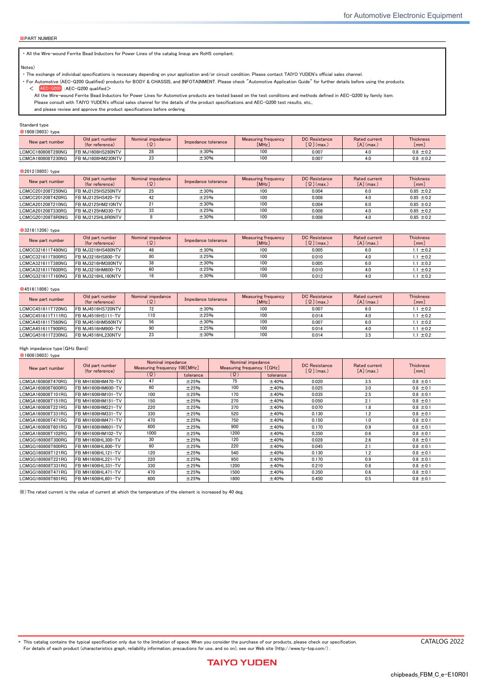|                           | $\blacksquare$                                 |
|---------------------------|------------------------------------------------|
|                           | $\blacksquare$                                 |
|                           | $\blacksquare$<br>U,                           |
|                           |                                                |
|                           | $\blacksquare$                                 |
|                           | $\frac{1}{2}$<br>U,                            |
|                           | $\blacksquare$                                 |
| $\boldsymbol{\mathsf{A}}$ | $ \blacksquare$                                |
|                           |                                                |
|                           | $\mathsf{D}$                                   |
|                           |                                                |
|                           | $\sim$ 0                                       |
|                           | $\sim$ 8001                                    |
|                           | $\sim$ 68                                      |
|                           | $\sim$ $\blacksquare$                          |
|                           |                                                |
|                           | $\mathbf{D}$                                   |
|                           |                                                |
|                           | $\sim$ B                                       |
|                           | $\mathbf{a}$<br>$\sim$                         |
|                           | $\mathbb{R}^2$<br>$\ddot{\phantom{0}}$         |
|                           | $\mathbf{M}$<br>$\sim$                         |
|                           |                                                |
|                           | $\mathcal{L}$<br>$\sim$                        |
|                           | 日駅<br>$\sim$                                   |
|                           | $\pmb{\mathbb{B}}$<br>$\overline{\phantom{0}}$ |
|                           |                                                |
|                           | 日期<br>$\sim$                                   |
| $\mathsf{C}$              | $\sim$ 0                                       |
|                           | $-$ <b>B</b>                                   |
|                           |                                                |
|                           | $\blacksquare$<br>$\sim$                       |
|                           |                                                |
|                           | $\blacksquare$<br>$\sim$                       |
|                           | $\blacksquare$<br>$\sim$                       |
|                           | $\sim$ $\blacksquare$                          |
|                           |                                                |
|                           | $\mathbf{L}$                                   |
|                           | $\sim$ $\blacksquare$                          |
|                           |                                                |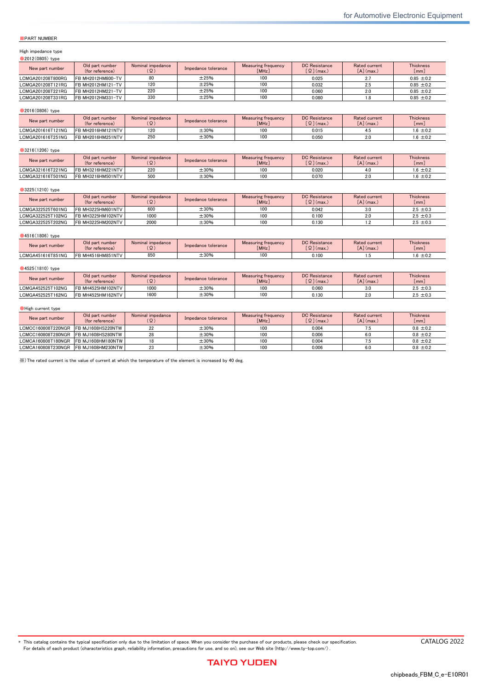# Wire-wound Ferrite Bead Inductors for Power Lines LCMC/LCMG series

for Automotive Body & Chassis and Infotainment<br>Code in front of Series have been extracted from Part number, which describes the segment of products, such as kinds and characteristics. AEC-Q200 Grade 3 (we conduct the evaluation at the test condition of Grade 3.) \*Operating environment Temp:-40~85℃ ■PART NUMBER **■**PART NUMBER **\*Operating Temp. : -40~125℃(Including self-generated heat)** L C M C || C || 3 2 1 6 || 1 1 || T || 8 0 0 || R || G ① ② ③ ④ ⑤ ⑥ ⑦ ⑧ ①Series Code  $(1)(2)(3)(4)$ LCMC Wire-wound Ferrite Bead Inductors for Power Lines for Automotive Body & Chassis and Infotainment LCMG Wire-wound Ferrite Bead Inductors for Power Lines for Automotive Body & Chassis and Infotainment (1) Product Group Code L Inductors (2) Category Code Recommended equipment Quality Grade C<br>CAU Automotive Electronic Equipment (Body & Chassis, Infotainment) <sup>2</sup> (3) Type Code M Ferrite Wire-wound bead (4) Features, Characteristics Code C High current G High frequency ②Features Code **Feature** A Standard(20MHz) C Wave-shaping G | For GHz noise ③Dimensions(L×W) Code Type(inch) Dimensions(L×W) [mm] 1608 1608(0603) 1.6×0.8 2012 2012(0805) 2.0 × 1.25 2016 2016(0806) 2.0×1.6 3216 3216(1206) 3.2×1.6 3225 3225(1210) 3.2×2.5 4516 4516(1806) 4.5×1.6 4525 4525(1810) 4.5×2.5 ④Dimensions(T) Code Dimensions(T)[mm] 08 08 0.85 11  $\frac{1}{1}$  1.1 16 1.6 25 2.5 ⑤Packaging Code | Packaging T | Taping ⑥Nominal impedance Code (example) Nominal impedance[Ω] 330 33 221 220 102 1000 ⑦Impedance tolerance Code Impedance tolerance  $R$   $\pm 25\%$  $N = 30\%$ ⑧Internal code **REFLOW** AEC-Q200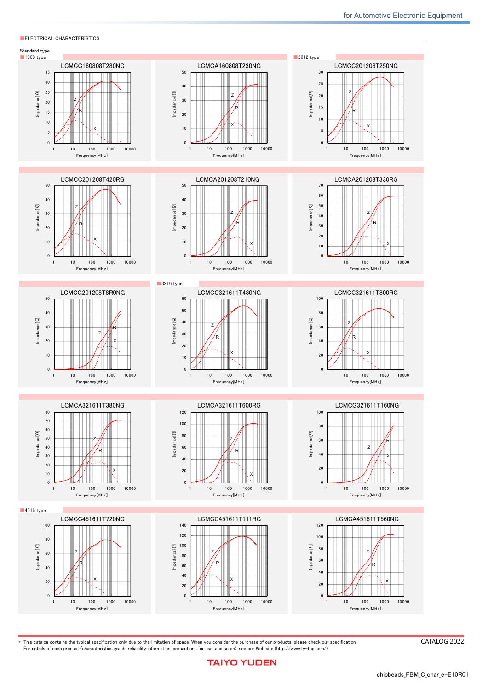# ■ STANDARD EXTERNAL DIMENSIONS / STANDARD QUANTITY

|                     |                                      |                                      | Recommended Land Patterns                                                 |                                    |            |                         |                 |          |
|---------------------|--------------------------------------|--------------------------------------|---------------------------------------------------------------------------|------------------------------------|------------|-------------------------|-----------------|----------|
|                     | W                                    | Surface Mounting                     |                                                                           |                                    | Type       | $\mathsf{A}$            | B               | C        |
|                     |                                      |                                      | • Mounting and soldering conditions should be                             |                                    | 1608       | 1.0                     | 1.0             | 1.0      |
|                     |                                      |                                      | checked beforehand.                                                       |                                    | 2012       | 1.4                     | 1.2             | 1.65     |
|                     |                                      |                                      |                                                                           |                                    | 2016       | 1.4                     | 1.2             | 2.0      |
|                     |                                      |                                      |                                                                           |                                    | 3216       | 1.4                     | 2.2             | 2.0      |
|                     | e                                    |                                      |                                                                           | C                                  | 3225       | 1.4                     | 2.2             | 2.9      |
|                     |                                      |                                      |                                                                           |                                    | 4516       | 1.75                    | 3.5             | 2.0      |
|                     |                                      |                                      |                                                                           |                                    |            |                         |                 |          |
|                     |                                      |                                      | B<br>A<br>A                                                               |                                    | 4525       | 1.75                    | 3.5             | 2.9      |
|                     |                                      |                                      |                                                                           |                                    |            |                         |                 | Unit: mm |
| Type                |                                      | W                                    | T.                                                                        | e                                  |            | Standard quantity [pcs] |                 |          |
|                     |                                      |                                      |                                                                           |                                    | Paper tape |                         | Embossed tape   |          |
| 160808 *1           | $1.6 \pm 0.2$                        | $0.8 + 0.2$                          | $0.8 + 0.2$<br>$0.3 \pm 0.2$                                              |                                    | 4000       |                         |                 |          |
| (0603)<br>160808 *2 | $(0.063 \pm 0.008)$<br>$1.6 \pm 0.1$ | $(0.031 \pm 0.008)$<br>$0.8 + 0.1$   | $(0.031 \pm 0.008)$<br>$(0.012 \pm 0.008)$<br>$0.8 + 0.1$<br>$0.3 + 0.15$ |                                    |            |                         |                 |          |
| (0603)              | $(0.063 \pm 0.004)$                  | $(0.031 \pm 0.004)$                  | $(0.031 \pm 0.004)$                                                       | $(0.012 \pm 0.006)$                | 4000       |                         |                 |          |
| 201208              | $2.0 \pm 0.2$                        | $1.25 \pm 0.2$                       | $0.85 + 0.2$                                                              | $0.5 \pm 0.3$                      |            |                         |                 |          |
| (0805)              | $(0.079 \pm 0.008)$                  | $(0.049 \pm 0.008)$                  | $(0.033 \pm 0.008)$                                                       | $(0.020 \pm 0.012)$                | 4000       |                         |                 |          |
| 201616              | $2.0 \pm 0.2$                        | $1.6 \pm 0.2$                        | $1.6 \pm 0.2$                                                             | $0.5 \pm 0.3$                      |            |                         | 2000            |          |
| (0806)              | $(0.079 \pm 0.008)$                  | $(0.063 \pm 0.008)$                  | $(0.063 \pm 0.008)$                                                       | $(0.020 \pm 0.012)$                |            |                         |                 |          |
| 321611              | $3.2 \pm 0.3$                        | $1.6 \pm 0.2$                        | $1.1 \pm 0.2$                                                             | $0.5 \pm 0.3$                      |            |                         | 2000            |          |
| (1206)              | $(0.126 \pm 0.012)$                  | $(0.063 \pm 0.008)$                  | $(0.043 \pm 0.008)$                                                       | $(0.020 \pm 0.012)$                |            |                         |                 |          |
| 321616<br>(1206)    | $3.2 \pm 0.3$<br>$(0.126 \pm 0.012)$ | $1.6 \pm 0.2$<br>$(0.063 \pm 0.008)$ | $1.6 \pm 0.2$<br>$(0.063 \pm 0.008)$                                      | $0.5 + 0.3$<br>$(0.020 \pm 0.012)$ |            |                         | 2000            |          |
| 322525              | $3.2 \pm 0.3$                        | $2.5 \pm 0.3$                        | $2.5 \pm 0.3$                                                             | $0.5 \pm 0.3$                      |            |                         |                 |          |
| (1210)              | $(0.126 \pm 0.012)$                  | $(0.098 \pm 0.012)$                  | $(0.098 \pm 0.012)$                                                       | $(0.020 \pm 0.012)$                |            |                         | 1000            |          |
| 451611              | $4.5 \pm 0.3$                        | $1.6 \pm 0.2$                        | $1.1 \pm 0.2$                                                             | $0.5 + 0.3$                        |            |                         |                 |          |
| (1806)              | $(0.177 \pm 0.012)$                  | $(0.063 \pm 0.008)$                  | $(0.043 \pm 0.008)$                                                       | $(0.020 \pm 0.012)$                |            |                         | 2000            |          |
| 451616              | $4.5 \pm 0.3$                        | $1.6 \pm 0.2$                        | $1.6 \pm 0.2$                                                             | $0.5 + 0.3$                        |            |                         | 2000            |          |
| (1806)              | $(0.177 \pm 0.012)$                  | $(0.063 \pm 0.008)$                  | $(0.063 \pm 0.008)$                                                       | $(0.020 \pm 0.012)$                |            |                         |                 |          |
| 452525              | $4.5 \pm 0.4$                        | $2.5 \pm 0.3$                        | $2.5 \pm 0.3$                                                             | $0.9 + 0.6$                        |            |                         | 1000            |          |
| (1810)              | $(0.177 \pm 0.016)$                  | $(0.098 \pm 0.012)$                  | $(0.098 \pm 0.012)$                                                       | $(0.035 \pm 0.024)$                |            |                         |                 |          |
| *1 LCMC.            | *2 LCMG                              |                                      |                                                                           |                                    |            |                         | Unit: mm (inch) |          |

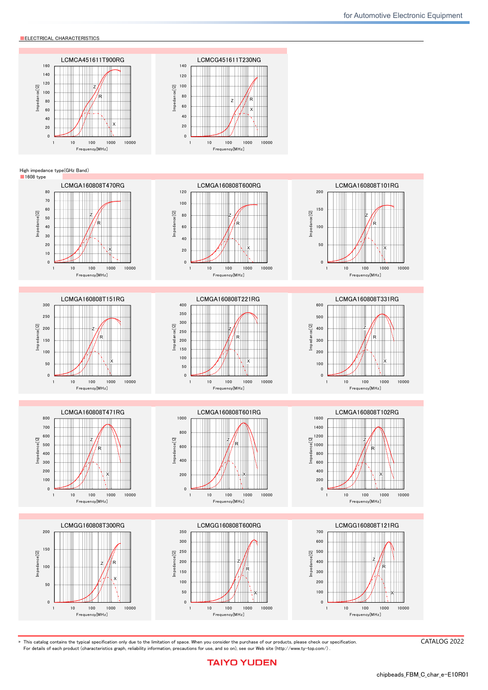#### ■PART NUMBER

・ All the Wire-wound Ferrite Bead Inductors for Power Lines of the catalog lineup are RoHS compliant.

#### Notes)

・ The exchange of individual specifications is necessary depending on your application and/or circuit condition. Please contact TAIYO YUDEN's official sales channel.

 ・ For Automotive (AEC-Q200 Qualified) products for BODY & CHASSIS, and INFOTAINMENT. Please check "Automotive Application Guide" for further details before using the products.  $\lt$  AEC-Q200 : AEC-Q200 qualified >

 All the Wire-wound Ferrite Bead Inductors for Power Lines for Automotive products are tested based on the test conditions and methods defined in AEC-Q200 by family item. Please consult with TAIYO YUDEN's official sales channel for the details of the product specifications and AEC-Q200 test results, etc.,

and please review and approve the product specifications before ordering.

Standard type ●1608(0603) type

| ινου (συσσ) τημα  |                                    |                          |                     |                              |                                                    |                                           |                          |  |  |  |
|-------------------|------------------------------------|--------------------------|---------------------|------------------------------|----------------------------------------------------|-------------------------------------------|--------------------------|--|--|--|
| New part number   | Old part number<br>(for reference) | Nominal impedance<br>(Ω) | Impedance tolerance | Measuring frequency<br>[MHz] | <b>DC</b> Resistance<br>$\lceil$ $\Omega$ ] (max.) | Rated current<br>$\lceil A \rceil$ (max.) | <b>Thickness</b><br>[mm] |  |  |  |
| LCMCC160808T280NG | <b>FB MJ1608HS280NTV</b>           | 28                       | ±30%                | 100                          | 0.007                                              |                                           | $0.8 \pm 0.2$            |  |  |  |
| LCMCA160808T230NG | FB MJ1608HM230NTV                  | ៹៴                       | ±30%                | 100                          | 0.007                                              |                                           | $0.8 \pm 0.2$            |  |  |  |

#### ●2012(0805) type

| New part number   | Old part number<br>(for reference) | Nominal impedance<br>$(\Omega)$ | Impedance tolerance | Measuring frequency<br>[MHz] | <b>DC</b> Resistance<br>$\lceil$ $\Omega$ $\rceil$ (max.) | Rated current<br>$\lceil A \rceil$ (max.) | <b>Thickness</b><br>[mm] |
|-------------------|------------------------------------|---------------------------------|---------------------|------------------------------|-----------------------------------------------------------|-------------------------------------------|--------------------------|
| LCMCC201208T250NG | FB MJ2125HS250NTV                  |                                 | ±30%                | 100                          | 0.004                                                     | 6.0                                       | $0.85 \pm 0.2$           |
| LCMCC201208T420RG | FB MJ2125HS420-TV                  |                                 | ±25%                | 100                          | 0.008                                                     |                                           | $0.85 \pm 0.2$           |
| LCMCA201208T210NG | FB MJ2125HM210NTV                  |                                 | ±30%                | 100                          | 0.004                                                     | 6.0                                       | $0.85 \pm 0.2$           |
| LCMCA201208T330RG | FB MJ2125HM330-TV                  |                                 | ±25%                | 100                          | 0.008                                                     |                                           | $0.85 \pm 0.2$           |
| LCMCG201208T8R0NG | FB MJ2125HL8R0NTV                  |                                 | ±30%                | 100                          | 0.008                                                     |                                           | $0.85 \pm 0.2$           |

#### ●3216(1206) type

| New part number   | Old part number<br>(for reference) | Nominal impedance<br>(Ω) | Impedance tolerance | Measuring frequency<br>[MHz] | <b>DC</b> Resistance<br>$\lceil \Omega \rceil$ (max.) | Rated current<br>$\lceil A \rceil$ (max.) | <b>Thickness</b><br>[mm] |
|-------------------|------------------------------------|--------------------------|---------------------|------------------------------|-------------------------------------------------------|-------------------------------------------|--------------------------|
| LCMCC321611T480NG | FB MJ3216HS480NTV                  | 48                       | ±30%                | 100                          | 0.005                                                 |                                           | $1.1 \pm 0.2$            |
| LCMCC321611T800RG | FB MJ3216HS800-TV                  | 80                       | ±25%                | 100                          | 0.010                                                 |                                           | $1.1 \pm 0.2$            |
| LCMCA321611T380NG | FB MJ3216HM380NTV                  | 38                       | ±30%                | 100                          | 0.005                                                 |                                           | $1.1 \pm 0.2$            |
| LCMCA321611T600RG | FB MJ3216HM600-TV                  | 60                       | ±25%                | 100                          | 0.010                                                 |                                           | $1.1 \pm 0.2$            |
| LCMCG321611T160NG | FB MJ3216HL160NTV                  |                          | ±30%                | 100                          | 0.012                                                 |                                           | $1.1 \pm 0.2$            |

#### ●4516(1806) type

| New part number   | Old part number<br>(for reference) | Nominal impedance<br>( Ω ) | Impedance tolerance | Measuring frequency<br>[MHz] | <b>DC</b> Resistance<br>$\lceil$ $\Omega$ ] (max.) | Rated current<br>[A](max.) | <b>Thickness</b><br>[mm] |
|-------------------|------------------------------------|----------------------------|---------------------|------------------------------|----------------------------------------------------|----------------------------|--------------------------|
| LCMCC451611T720NG | FB MJ4516HS720NTV                  | 72                         | ±30%                | 100                          | 0.007                                              | 6.0                        | $1.1 \pm 0.2$            |
| LCMCC451611T111RG | FB MJ4516HS111-TV                  | 110                        | ±25%                | 100                          | 0.014                                              |                            | $1.1 \pm 0.2$            |
| LCMCA451611T560NG | FB MJ4516HM560NTV                  | 56                         | ±30%                | 100                          | 0.007                                              | 6.0                        | $1.1 \pm 0.2$            |
| LCMCA451611T900RG | FB MJ4516HM900-TV                  | 90                         | ±25%                | 100                          | 0.014                                              |                            | $1.1 \pm 0.2$            |
| LCMCG451611T230NG | FB MJ4516HL230NTV                  |                            | ±30%                | 100                          | 0.014                                              |                            | $1.1 \pm 0.2$            |

#### High impedance type(GHz Band)

●1608(0603) type

| New part number   | Old part number<br>(for reference) | Nominal impedance<br>Measuring frequency 100 [MHz] |           | Nominal impedance<br>Measuring frequency 1 [GHz] |           | <b>DC</b> Resistance<br>$\lceil$ $\Omega$ ] (max.) | <b>Rated current</b><br>$\lceil A \rceil$ (max.) | <b>Thickness</b><br>$\lceil$ mm $\rceil$ |
|-------------------|------------------------------------|----------------------------------------------------|-----------|--------------------------------------------------|-----------|----------------------------------------------------|--------------------------------------------------|------------------------------------------|
|                   |                                    | $(\Omega)$                                         | tolerance | $(\Omega)$                                       | tolerance |                                                    |                                                  |                                          |
| LCMGA160808T470RG | FB MH1608HM470-TV                  | 47                                                 | ±25%      | 75                                               | ±40%      | 0.020                                              | 3.5                                              | $0.8 \pm 0.1$                            |
| LCMGA160808T600RG | FB MH1608HM600-TV                  | 60                                                 | ±25%      | 100                                              | ±40%      | 0.025                                              | 3.0                                              | $0.8 \pm 0.1$                            |
| LCMGA160808T101RG | FB MH1608HM101-TV                  | 100                                                | ±25%      | 170                                              | ±40%      | 0.035                                              | 2.5                                              | $0.8 \pm 0.1$                            |
| LCMGA160808T151RG | FB MH1608HM151-TV                  | 150                                                | ±25%      | 270                                              | ±40%      | 0.050                                              | 2.1                                              | $0.8 \pm 0.1$                            |
| LCMGA160808T221RG | FB MH1608HM221-TV                  | 220                                                | ±25%      | 370                                              | ±40%      | 0.070                                              | 1.8                                              | $0.8 \pm 0.1$                            |
| LCMGA160808T331RG | FB MH1608HM331-TV                  | 330                                                | ±25%      | 520                                              | ±40%      | 0.130                                              | 1.2                                              | $0.8 \pm 0.1$                            |
| LCMGA160808T471RG | FB MH1608HM471-TV                  | 470                                                | ±25%      | 750                                              | ±40%      | 0.150                                              | 1.0                                              | $0.8 \pm 0.1$                            |
| LCMGA160808T601RG | FB MH1608HM601-TV                  | 600                                                | ±25%      | 900                                              | ±40%      | 0.170                                              | 0.9                                              | $0.8 \pm 0.1$                            |
| LCMGA160808T102RG | FB MH1608HM102-TV                  | 1000                                               | ±25%      | 1200                                             | ±40%      | 0.350                                              | 0.6                                              | $0.8 \pm 0.1$                            |
| LCMGG160808T300RG | FB MH1608HL300-TV                  | 30                                                 | ±25%      | 120                                              | ±40%      | 0.028                                              | 2.6                                              | $0.8 \pm 0.1$                            |
| LCMGG160808T600RG | FB MH1608HL600-TV                  | 60                                                 | ±25%      | 220                                              | ±40%      | 0.045                                              | 2.1                                              | $0.8 \pm 0.1$                            |
| LCMGG160808T121RG | FB MH1608HL121-TV                  | 120                                                | ±25%      | 540                                              | ±40%      | 0.130                                              | 1.2                                              | $0.8 \pm 0.1$                            |
| LCMGG160808T221RG | FB MH1608HL221-TV                  | 220                                                | ±25%      | 950                                              | ±40%      | 0.170                                              | 0.9                                              | $0.8 \pm 0.1$                            |
| LCMGG160808T331RG | FB MH1608HL331-TV                  | 330                                                | ±25%      | 1200                                             | ±40%      | 0.210                                              | 0.8                                              | $0.8 \pm 0.1$                            |
| LCMGG160808T471RG | FB MH1608HL471-TV                  | 470                                                | ±25%      | 1500                                             | ±40%      | 0.350                                              | 0.6                                              | $0.8 \pm 0.1$                            |
| LCMGG160808T601RG | FB MH1608HL601-TV                  | 600                                                | ±25%      | 1800                                             | $\pm 40%$ | 0.450                                              | 0.5                                              | $0.8 \pm 0.1$                            |

※)The rated current is the value of current at which the temperature of the element is increased by 40 deg.

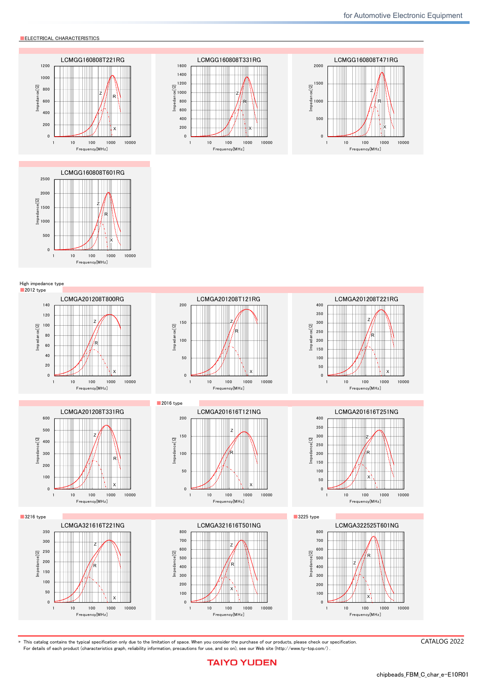■PART NUMBER

#### High impedance type

| 2012(0805) type   |                                    |                          |                     |                                     |                                                       |                                           |                          |
|-------------------|------------------------------------|--------------------------|---------------------|-------------------------------------|-------------------------------------------------------|-------------------------------------------|--------------------------|
| New part number   | Old part number<br>(for reference) | Nominal impedance<br>(Ω) | Impedance tolerance | <b>Measuring frequency</b><br>[MHz] | <b>DC</b> Resistance<br>$\lceil \Omega \rceil$ (max.) | Rated current<br>$\lceil A \rceil$ (max.) | <b>Thickness</b><br>[mm] |
| LCMGA201208T800RG | FB MH2012HM800-TV                  | 80                       | ±25%                | 100                                 | 0.025                                                 |                                           | $0.85 \pm 0.2$           |
| LCMGA201208T121RG | FB MH2012HM121-TV                  | 120                      | ±25%                | 100                                 | 0.032                                                 |                                           | $0.85 \pm 0.2$           |
| LCMGA201208T221RG | FB MH2012HM221-TV                  | 220                      | ±25%                | 100                                 | 0.060                                                 |                                           | $0.85 \pm 0.2$           |
| LCMGA201208T331RG | FB MH2012HM331-TV                  | 330                      | ±25%                | 100                                 | 0.080                                                 |                                           | $0.85 \pm 0.2$           |

#### ●2016(0806) type

| New part number   | Old part number<br>(for reference) | Nominal impedance<br>ίΩ) | Impedance tolerance | Measuring frequency<br><b>[MHz]</b> | <b>DC</b> Resistance<br>$\lceil \Omega \rceil$ (max.) | Rated current<br>[A](max.) | <b>Thickness</b><br>$\lfloor mm \rfloor$ |
|-------------------|------------------------------------|--------------------------|---------------------|-------------------------------------|-------------------------------------------------------|----------------------------|------------------------------------------|
| LCMGA201616T121NG | FB MH2016HM121NTV                  | 120                      | ±30%                | 100                                 | 0.015                                                 |                            | $1.6 \pm 0.2$                            |
| LCMGA201616T251NG | FB MH2016HM251NTV                  | 250                      | ±30%                |                                     | 0.050                                                 | 2.0                        | $1.6 \pm 0.2$                            |

#### ●3216(1206) type

| New part number   | Old part number<br>(for reference) | Nominal impedance<br>( Ω ) | Impedance tolerance | Measuring frequency<br>[MHz] | <b>DC</b> Resistance<br>$\lceil \Omega \rceil$ (max.) | Rated current<br>$\lceil A \rceil$ (max.) | <b>Thickness</b><br>[mm] |
|-------------------|------------------------------------|----------------------------|---------------------|------------------------------|-------------------------------------------------------|-------------------------------------------|--------------------------|
| LCMGA321616T221NG | FB MH3216HM221NTV                  | 220                        | $\pm 30\%$          | 100                          | 0.020                                                 |                                           | $1.6 \pm 0.2$            |
| LCMGA321616T501NG | FB MH3216HM501NTV                  | 500                        | ±30%                | 100                          | 0.070                                                 |                                           | $1.6 \pm 0.2$            |

#### ●3225(1210) type

| New part number   | Old part number<br>(for reference) | Nominal impedance<br>(Ω) | Impedance tolerance | Measuring frequency<br>[MHz] | <b>DC</b> Resistance<br>$\lceil$ $\Omega$ ] (max.) | Rated current<br>[A](max) | <b>Thickness</b><br>[mm] |
|-------------------|------------------------------------|--------------------------|---------------------|------------------------------|----------------------------------------------------|---------------------------|--------------------------|
| LCMGA322525T601NG | FB MH3225HM601NTV                  | 600                      | ±30%                | 100                          | 0.042                                              | 3.0                       | $2.5 \pm 0.3$            |
| LCMGA322525T102NG | FB MH3225HM102NTV                  | 1000                     | ±30%                | 100                          | 0.100                                              | 2.0                       | $2.5 \pm 0.3$            |
| LCMGA322525T202NG | <b>FB MH3225HM202NTV</b>           | 2000                     | ±30%                | 100                          | 0.130                                              |                           | $2.5 \pm 0.3$            |

#### ●4516(1806) type

| New part number   | Old part number<br>(for reference) | Nominal impedance<br>(Ω) | Impedance tolerance | <b>Measuring frequency</b><br>[MHz] | <b>DC</b> Resistance<br>$\left[\Omega\right]$ (max.) | Rated current<br>$-111$<br>[A] (max.) | <b>Thickness</b><br> mm |
|-------------------|------------------------------------|--------------------------|---------------------|-------------------------------------|------------------------------------------------------|---------------------------------------|-------------------------|
| LCMGA451616T851NG | FB MH4516HM851NTV                  | 850                      | ±30%                | 100                                 | 0.100                                                |                                       | $1.6 \pm 0.2$           |

#### ●4525(1810) type

| New part number   | Old part number<br>(for reference) | Nominal impedance<br>$(\Omega)$ | Impedance tolerance | Measuring frequency<br>[MHz] | <b>DC</b> Resistance<br>$\lceil \Omega \rceil$ (max.) | Rated current<br>$\lceil A \rceil$ (max.) | <b>Thickness</b><br>$\lfloor mm \rfloor$ |
|-------------------|------------------------------------|---------------------------------|---------------------|------------------------------|-------------------------------------------------------|-------------------------------------------|------------------------------------------|
| LCMGA452525T102NG | FB MH4525HM102NTV                  | 1000                            | ±30%                | 100                          | 0.060                                                 |                                           | $2.5 \pm 0.3$                            |
| LCMGA452525T162NG | FB MH4525HM162NTV                  | 1600                            | ±30%                | 100                          | 0.130                                                 |                                           | $2.5 \pm 0.3$                            |

#### ●High current type

| New part number                      | Old part number<br>(for reference) | Nominal impedance<br>( Ω ) | Impedance tolerance | Measuring frequency<br>[MHz] | <b>DC</b> Resistance<br>$\lceil$ $\Omega$ ] (max.) | Rated current<br>[A](max) | <b>Thickness</b><br>$\lceil$ mm $\rceil$ |
|--------------------------------------|------------------------------------|----------------------------|---------------------|------------------------------|----------------------------------------------------|---------------------------|------------------------------------------|
| LCMCC160808T220NGR FB MJ1608HS220NTW |                                    |                            | ±30%                | 100                          | 0.004                                              |                           | $0.8 \pm 0.2$                            |
| LCMCC160808T280NGR FB MJ1608HS280NTW |                                    |                            | ±30%                | 100                          | 0.006                                              | 6.0                       | $0.8 \pm 0.2$                            |
| LCMCA160808T180NGR FB MJ1608HM180NTW |                                    |                            | ±30%                | 100                          | 0.004                                              |                           | $0.8 \pm 0.2$                            |
| LCMCA160808T230NGR FB MJ1608HM230NTW |                                    |                            | ±30%                | 100                          | 0.006                                              | 6.0                       | $0.8 \pm 0.2$                            |

※)The rated current is the value of current at which the temperature of the element is increased by 40 deg.

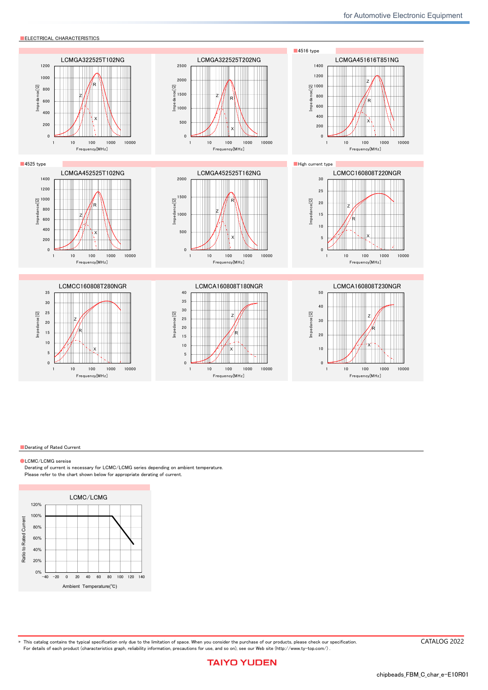**ELECTRICAL CHARACTERISTICS** 



▶ This catalog contains the typical specification only due to the limitation of space. When you consider the purchase of our products, please check our specification For details of each product (characteristics graph, reliability information, precautions for use, and so on), see our Web site (http://www.ty-top.com/) .

CATALOG 2022

# **TAIYO YUDEN**